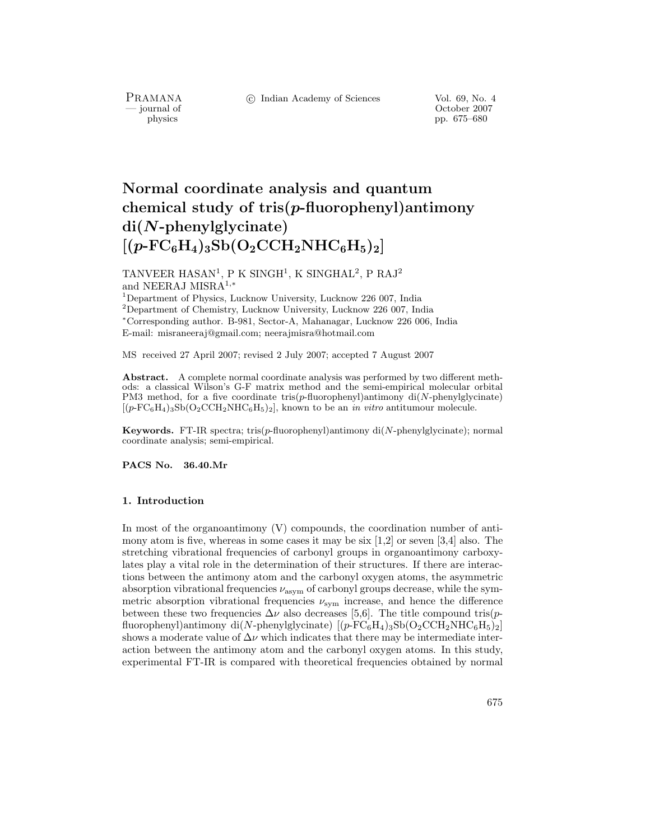c Indian Academy of Sciences Vol. 69, No. 4

PRAMANA<br>
— journal of

October 2007 physics pp. 675–680

# **Normal coordinate analysis and quantum chemical study of tris(***p***-fluorophenyl)antimony di(***N***-phenylglycinate)**  $[(p\text{-}\mathrm{FC}_6\mathrm{H}_4)_3\mathrm{Sb}(\mathrm{O}_2\mathrm{CCH}_2\mathrm{NHC}_6\mathrm{H}_5)_2]$

TANVEER HASAN<sup>1</sup>, P K SINGH<sup>1</sup>, K SINGHAL<sup>2</sup>, P RAJ<sup>2</sup> and NEERAJ MISRA<sup>1</sup>,<sup>∗</sup>

<sup>1</sup>Department of Physics, Lucknow University, Lucknow 226 007, India <sup>2</sup>Department of Chemistry, Lucknow University, Lucknow 226 007, India <sup>∗</sup>Corresponding author. B-981, Sector-A, Mahanagar, Lucknow 226 006, India E-mail: misraneeraj@gmail.com; neerajmisra@hotmail.com

MS received 27 April 2007; revised 2 July 2007; accepted 7 August 2007

**Abstract.** A complete normal coordinate analysis was performed by two different methods: a classical Wilson's G-F matrix method and the semi-empirical molecular orbital PM3 method, for a five coordinate tris(*p*-fluorophenyl)antimony di(*N*-phenylglycinate)  $[(p-FC<sub>6</sub>H<sub>4</sub>)<sub>3</sub>Sb(O<sub>2</sub>CCH<sub>2</sub>NHC<sub>6</sub>H<sub>5</sub>)<sub>2</sub>]$ , known to be an *in vitro* antitumour molecule.

**Keywords.** FT-IR spectra; tris(*p*-fluorophenyl)antimony di(*N*-phenylglycinate); normal coordinate analysis; semi-empirical.

**PACS No. 36.40.Mr**

#### **1. Introduction**

In most of the organoantimony (V) compounds, the coordination number of antimony atom is five, whereas in some cases it may be six  $[1,2]$  or seven  $[3,4]$  also. The stretching vibrational frequencies of carbonyl groups in organoantimony carboxylates play a vital role in the determination of their structures. If there are interactions between the antimony atom and the carbonyl oxygen atoms, the asymmetric absorption vibrational frequencies  $\nu_{\text{asym}}$  of carbonyl groups decrease, while the symmetric absorption vibrational frequencies  $\nu_{sym}$  increase, and hence the difference between these two frequencies  $\Delta \nu$  also decreases [5,6]. The title compound tris(pfluorophenyl)antimony di(N-phenylglycinate)  $[(p-\overline{FC}_6H_4)_3Sb(O_2CCH_2NHC_6H_5)_2]$ shows a moderate value of  $\Delta \nu$  which indicates that there may be intermediate interaction between the antimony atom and the carbonyl oxygen atoms. In this study, experimental FT-IR is compared with theoretical frequencies obtained by normal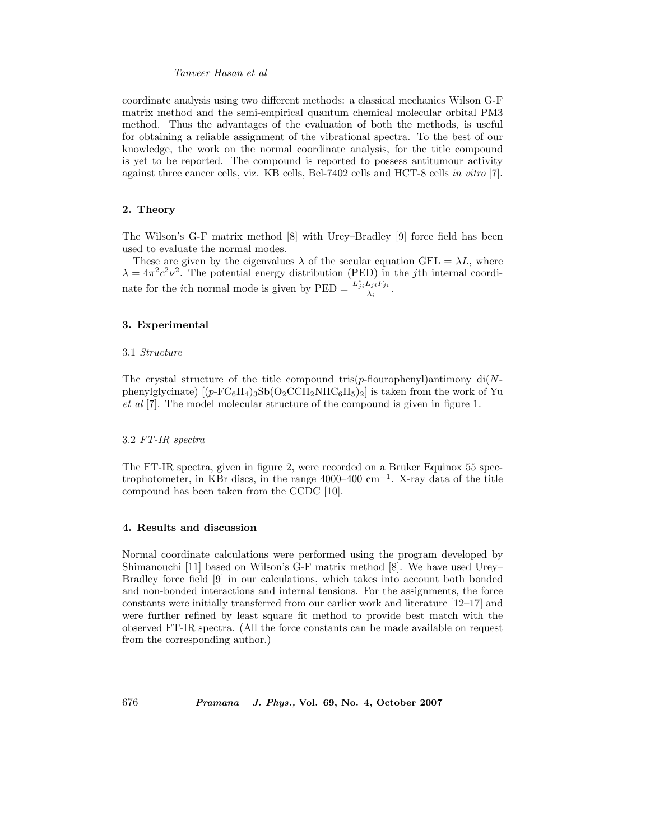## *Tanveer Hasan et al*

coordinate analysis using two different methods: a classical mechanics Wilson G-F matrix method and the semi-empirical quantum chemical molecular orbital PM3 method. Thus the advantages of the evaluation of both the methods, is useful for obtaining a reliable assignment of the vibrational spectra. To the best of our knowledge, the work on the normal coordinate analysis, for the title compound is yet to be reported. The compound is reported to possess antitumour activity against three cancer cells, viz. KB cells, Bel-7402 cells and HCT-8 cells *in vitro* [7].

# **2. Theory**

The Wilson's G-F matrix method [8] with Urey–Bradley [9] force field has been used to evaluate the normal modes.

These are given by the eigenvalues  $\lambda$  of the secular equation GFL =  $\lambda L$ , where  $\lambda = 4\pi^2 c^2 \nu^2$ . The potential energy distribution (PED) in the *j*th internal coordinate for the *i*<sup>th</sup> normal mode is given by  $\text{PED} = \frac{L_{ji}^* L_{ji} F_{ji}}{\lambda_i}$ .

# **3. Experimental**

#### 3.1 *Structure*

The crystal structure of the title compound tris( $p$ -flourophenyl)antimony di(Nphenylglycinate)  $[(p\text{-FC}_6H_4)_3\text{Sb}(O_2\text{CCH}_2\text{NHC}_6H_5)_2]$  is taken from the work of Yu *et al* [7]. The model molecular structure of the compound is given in figure 1.

## 3.2 *FT-IR spectra*

The FT-IR spectra, given in figure 2, were recorded on a Bruker Equinox 55 spectrophotometer, in KBr discs, in the range 4000–400  $\text{cm}^{-1}$ . X-ray data of the title compound has been taken from the CCDC [10].

#### **4. Results and discussion**

Normal coordinate calculations were performed using the program developed by Shimanouchi [11] based on Wilson's G-F matrix method [8]. We have used Urey– Bradley force field [9] in our calculations, which takes into account both bonded and non-bonded interactions and internal tensions. For the assignments, the force constants were initially transferred from our earlier work and literature [12–17] and were further refined by least square fit method to provide best match with the observed FT-IR spectra. (All the force constants can be made available on request from the corresponding author.)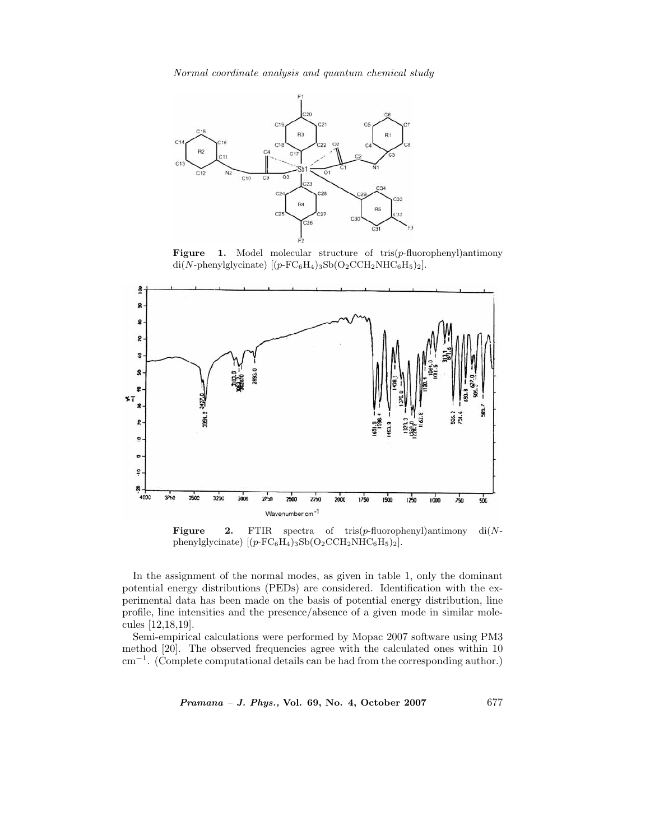*Normal coordinate analysis and quantum chemical study*



**Figure 1.** Model molecular structure of tris(*p*-fluorophenyl)antimony di(*N*-phenylglycinate)  $[(p\text{-FC}_6H_4)_3\text{Sb}(\text{O}_2\text{CCH}_2\text{NHC}_6\text{H}_5)_2].$ 



**Figure 2.** FTIR spectra of tris(*p*-fluorophenyl)antimony di(*N*phenylglycinate)  $[(p-\text{FC}_6\text{H}_4)_3\text{Sb}(\text{O}_2\text{CCH}_2\text{NHC}_6\text{H}_5)_2].$ 

In the assignment of the normal modes, as given in table 1, only the dominant potential energy distributions (PEDs) are considered. Identification with the experimental data has been made on the basis of potential energy distribution, line profile, line intensities and the presence/absence of a given mode in similar molecules [12,18,19].

Semi-empirical calculations were performed by Mopac 2007 software using PM3 method [20]. The observed frequencies agree with the calculated ones within 10 cm−<sup>1</sup>. (Complete computational details can be had from the corresponding author.)

*Pramana – J. Phys.,* **Vol. 69, No. 4, October 2007** 677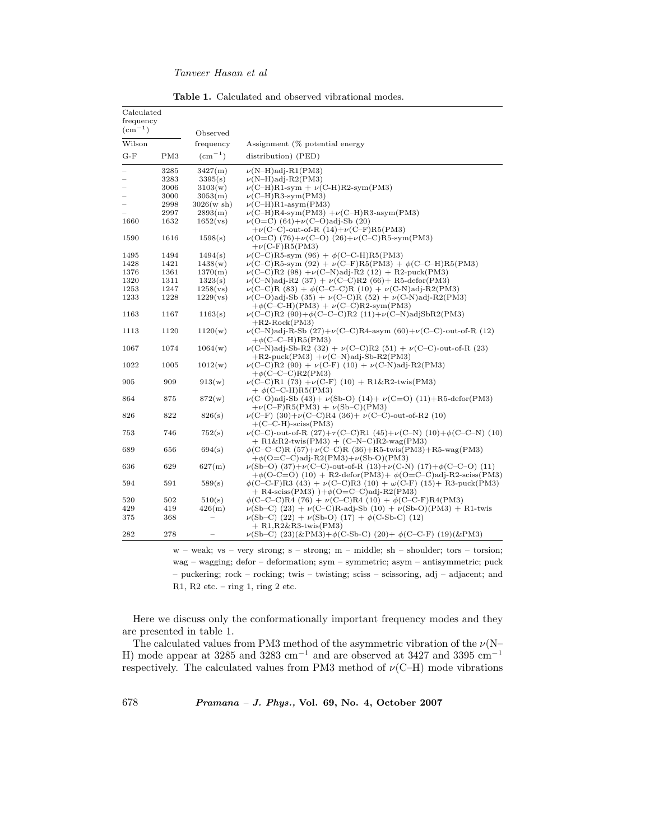# *Tanveer Hasan et al*

| <b>Table 1.</b> Calculated and observed vibrational modes. |  |  |  |  |
|------------------------------------------------------------|--|--|--|--|
|------------------------------------------------------------|--|--|--|--|

| Calculated<br>frequency      |      |                 |                                                                                                                                                           |
|------------------------------|------|-----------------|-----------------------------------------------------------------------------------------------------------------------------------------------------------|
| $\rm \left( cm^{-1} \right)$ |      |                 |                                                                                                                                                           |
|                              |      | Observed        |                                                                                                                                                           |
| Wilson                       |      | frequency       | Assignment (% potential energy                                                                                                                            |
| $G-F$                        | PM3  | $\rm (cm^{-1})$ | distribution) (PED)                                                                                                                                       |
|                              | 3285 | 3427(m)         | $\nu(N-H)$ adj-R1(PM3)                                                                                                                                    |
|                              | 3283 | 3395(s)         | $\nu(N-H)adj-R2(PM3)$                                                                                                                                     |
|                              | 3006 | 3103(w)         | $\nu$ (C-H)R1-sym + $\nu$ (C-H)R2-sym(PM3)                                                                                                                |
|                              | 3000 | 3053(m)         | $\nu$ (C-H)R3-sym(PM3)                                                                                                                                    |
|                              | 2998 | 3026(w sh)      | $\nu$ (C-H)R1-asym(PM3)                                                                                                                                   |
|                              | 2997 | 2893(m)         | $\nu$ (C-H)R4-sym(PM3) + $\nu$ (C-H)R3-asym(PM3)                                                                                                          |
| 1660                         | 1632 | 1652(vs)        | $\nu$ (O=C) (64)+ $\nu$ (C-O)adj-Sb (20)                                                                                                                  |
|                              |      |                 | $+\nu$ (C-C)-out-of-R (14)+ $\nu$ (C-F)R5(PM3)                                                                                                            |
| 1590                         | 1616 | 1598(s)         | $\nu$ (O=C) (76)+ $\nu$ (C-O) (26)+ $\nu$ (C-C)R5-sym(PM3)                                                                                                |
|                              |      |                 | $+\nu$ (C-F)R5(PM3)                                                                                                                                       |
| 1495                         | 1494 | 1494(s)         | $\nu$ (C-C)R5-sym (96) + $\phi$ (C-C-H)R5(PM3)                                                                                                            |
| 1428                         | 1421 | 1438(w)         | $\nu(C-C)R5$ -sym (92) + $\nu(C-F)R5(PM3) + \phi(C-C-H)R5(PM3)$                                                                                           |
| 1376                         | 1361 | 1370(m)         | $\nu$ (C-C)R2 (98) + $\nu$ (C-N)adj-R2 (12) + R2-puck(PM3)                                                                                                |
| 1320                         | 1311 | 1323(s)         | $\nu$ (C-N)adj-R2 (37) + $\nu$ (C-C)R2 (66)+ R5-defor(PM3)                                                                                                |
| 1253                         | 1247 | 1258(vs)        | $\nu(C-C)R$ (83) + $\phi(C-C-C)R$ (10) + $\nu(C-N)adj-R2(PM3)$                                                                                            |
| 1233                         | 1228 | 1229(vs)        | $\nu(C-O)$ adj-Sb (35) + $\nu(C-C)R$ (52) + $\nu(C-N)$ adj-R2(PM3)<br>$+\phi$ (C-C-H)(PM3) + $\nu$ (C-C)R2-sym(PM3)                                       |
| 1163                         | 1167 | 1163(s)         | $\nu(C-C)R2$ (90)+ $\phi(C-C-C)R2$ (11)+ $\nu(C-N)$ adjSbR2(PM3)<br>$+R2-Rock(PM3)$                                                                       |
| 1113                         | 1120 | 1120(w)         | $\nu(C-N)$ adj-R-Sb $(27)+\nu(C-C)$ R4-asym $(60)+\nu(C-C)$ -out-of-R $(12)$<br>$+\phi$ (C-C-H)R5(PM3)                                                    |
| 1067                         | 1074 | 1064(w)         | $\nu(C-N)$ adj-Sb-R2 (32) + $\nu(C-C)$ R2 (51) + $\nu(C-C)$ -out-of-R (23)<br>$+R2$ -puck(PM3) $+\nu$ (C-N)adj-Sb-R2(PM3)                                 |
| 1022                         | 1005 | 1012(w)         | $\nu(C-C)R2$ (90) + $\nu(C-F)$ (10) + $\nu(C-N)$ adj-R2(PM3)<br>$+\phi$ (C-C-C)R2(PM3)                                                                    |
| 905                          | 909  | 913(w)          | $\nu$ (C-C)R1 (73) + $\nu$ (C-F) (10) + R1&R2-twis(PM3)<br>$+ \phi$ (C-C-H)R5(PM3)                                                                        |
| 864                          | 875  | 872(w)          | $\nu(C-O)$ adj-Sb (43)+ $\nu(Sb-O)$ (14)+ $\nu(C=O)$ (11)+R5-defor(PM3)<br>$+\nu$ (C-F)R5(PM3) + $\nu$ (Sb-C)(PM3)                                        |
| 826                          | 822  | 826(s)          | $\nu(C-F)$ (30)+ $\nu(C-C)$ R4 (36)+ $\nu(C-C)$ -out-of-R2 (10)<br>$+(C-C-H)-sciss(PM3)$                                                                  |
| 753                          | 746  | 752(s)          | $\nu(C-C)$ -out-of-R (27)+ $\tau(C-C)$ R1 (45)+ $\nu(C-N)$ (10)+ $\phi(C-C-N)$ (10)<br>$+ R1\&R2$ -twis $(PM3) + (C-N-C)R2$ -wag $(PM3)$                  |
| 689                          | 656  | 694(s)          | $\phi$ (C-C-C)R (57)+ $\nu$ (C-C)R (36)+R5-twis(PM3)+R5-wag(PM3)<br>$+\phi$ (O=C-C)adj-R2(PM3) $+\nu$ (Sb-O)(PM3)                                         |
| 636                          | 629  | 627(m)          | $\nu(Sb-O)$ (37)+ $\nu(C-C)$ -out-of-R (13)+ $\nu(C-N)$ (17)+ $\phi(C-C-O)$ (11)<br>$+\phi$ (O-C=O) (10) + R2-defor(PM3)+ $\phi$ (O=C-C)adj-R2-sciss(PM3) |
| 594                          | 591  | 589(s)          | $\phi$ (C-C-F)R3 (43) + $\nu$ (C-C)R3 (10) + $\omega$ (C-F) (15)+ R3-puck(PM3)<br>$+$ R4-sciss(PM3) $)+\phi$ (O=C-C)adj-R2(PM3)                           |
| 520                          | 502  | 510(s)          | $\phi$ (C-C-C)R4 (76) + $\nu$ (C-C)R4 (10) + $\phi$ (C-C-F)R4(PM3)                                                                                        |
| 429                          | 419  | 426(m)          | $\nu(Sb-C)$ (23) + $\nu(C-C)R-adj-Sb$ (10) + $\nu(Sb-O)(PM3)$ + R1-twis                                                                                   |
| 375                          | 368  |                 | $\nu(Sb-C)$ (22) + $\nu(Sb-O)$ (17) + $\phi(C-Sb-C)$ (12)                                                                                                 |
| 282                          | 278  |                 | $+ R1, R2\&R3$ -twis $(PM3)$<br>$\nu(Sb-C)$ (23)(&PM3)+ $\phi$ (C-Sb-C) (20)+ $\phi$ (C-C-F) (19)(&PM3)                                                   |
|                              |      |                 | $w = weak$ $vs = very strono$ $s = strono$ $m = middle$ sh $= shoulder$ tors $= torsion$ .                                                                |

w – weak; vs – very strong; s – strong; m – middle; sh – shoulder; tors – torsion; wag – wagging; defor – deformation; sym – symmetric; asym – antisymmetric; puck – puckering; rock – rocking; twis – twisting; sciss – scissoring, adj – adjacent; and R1, R2 etc. – ring 1, ring 2 etc.

Here we discuss only the conformationally important frequency modes and they are presented in table 1.

The calculated values from PM3 method of the asymmetric vibration of the  $\nu(N-$ H) mode appear at 3285 and 3283 cm<sup>-1</sup> and are observed at 3427 and 3395 cm<sup>-1</sup> respectively. The calculated values from PM3 method of  $\nu$ (C–H) mode vibrations

678 *Pramana – J. Phys.,* **Vol. 69, No. 4, October 2007**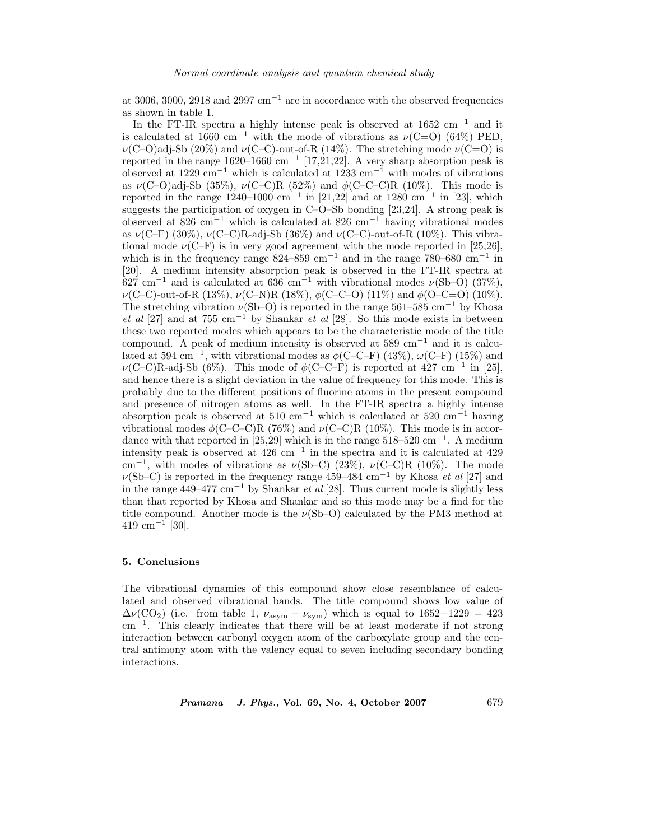at 3006, 3000, 2918 and 2997 cm<sup>-1</sup> are in accordance with the observed frequencies as shown in table 1.

In the FT-IR spectra a highly intense peak is observed at  $1652 \text{ cm}^{-1}$  and it is calculated at 1660 cm<sup>-1</sup> with the mode of vibrations as  $\nu$ (C=O) (64%) PED,  $\nu(C-O)$ adj-Sb (20%) and  $\nu(C-C)$ -out-of-R (14%). The stretching mode  $\nu(C=O)$  is reported in the range 1620–1660 cm<sup>-1</sup> [17,21,22]. A very sharp absorption peak is observed at 1229 cm−<sup>1</sup> which is calculated at 1233 cm−<sup>1</sup> with modes of vibrations as  $\nu(C-O)$ adj-Sb (35%),  $\nu(C-C)R$  (52%) and  $\phi(C-C-C)R$  (10%). This mode is reported in the range  $1240-1000$  cm<sup>-1</sup> in [21,22] and at 1280 cm<sup>-1</sup> in [23], which suggests the participation of oxygen in C–O–Sb bonding [23,24]. A strong peak is observed at 826 cm−<sup>1</sup> which is calculated at 826 cm−<sup>1</sup> having vibrational modes as  $\nu(C-F)$  (30%),  $\nu(C-C)R$ -adj-Sb (36%) and  $\nu(C-C)$ -out-of-R (10%). This vibrational mode  $\nu$ (C–F) is in very good agreement with the mode reported in [25,26], which is in the frequency range  $824-859$  cm<sup>-1</sup> and in the range 780–680 cm<sup>-1</sup> in [20]. A medium intensity absorption peak is observed in the FT-IR spectra at  $627 \text{ cm}^{-1}$  and is calculated at 636 cm<sup>-1</sup> with vibrational modes  $\nu(\text{Sb}-\text{O})$  (37%),  $\nu$ (C–C)-out-of-R (13%),  $\nu$ (C–N)R (18%),  $\phi$ (C–C–O) (11%) and  $\phi$ (O–C=O) (10%). The stretching vibration  $\nu(Sb-O)$  is reported in the range 561–585 cm<sup>-1</sup> by Khosa *et al* [27] and at 755 cm−<sup>1</sup> by Shankar *et al* [28]. So this mode exists in between these two reported modes which appears to be the characteristic mode of the title compound. A peak of medium intensity is observed at 589 cm<sup>-1</sup> and it is calculated at 594 cm<sup>-1</sup>, with vibrational modes as  $\phi$ (C–C–F) (43%),  $\omega$ (C–F) (15%) and  $\nu(C-C)R$ -adj-Sb (6%). This mode of  $\phi(C-C-F)$  is reported at 427 cm<sup>-1</sup> in [25], and hence there is a slight deviation in the value of frequency for this mode. This is probably due to the different positions of fluorine atoms in the present compound and presence of nitrogen atoms as well. In the FT-IR spectra a highly intense absorption peak is observed at  $510 \text{ cm}^{-1}$  which is calculated at  $520 \text{ cm}^{-1}$  having vibrational modes  $\phi$ (C–C–C)R (76%) and  $\nu$ (C–C)R (10%). This mode is in accordance with that reported in [25,29] which is in the range  $518-520$  cm<sup>-1</sup>. A medium intensity peak is observed at  $426 \text{ cm}^{-1}$  in the spectra and it is calculated at  $429$ cm<sup>-1</sup>, with modes of vibrations as  $\nu(Sb-C)$  (23%),  $\nu(C-C)R$  (10%). The mode  $\nu$ (Sb–C) is reported in the frequency range 459–484 cm<sup>-1</sup> by Khosa *et al* [27] and in the range 449–477 cm−<sup>1</sup> by Shankar *et al* [28]. Thus current mode is slightly less than that reported by Khosa and Shankar and so this mode may be a find for the title compound. Another mode is the  $\nu(Sb-O)$  calculated by the PM3 method at  $419 \text{ cm}^{-1}$  [30].

#### **5. Conclusions**

The vibrational dynamics of this compound show close resemblance of calculated and observed vibrational bands. The title compound shows low value of  $\Delta \nu (\text{CO}_2)$  (i.e. from table 1,  $\nu_{\text{asym}} - \nu_{\text{sym}}$ ) which is equal to 1652−1229 = 423 cm−<sup>1</sup>. This clearly indicates that there will be at least moderate if not strong interaction between carbonyl oxygen atom of the carboxylate group and the central antimony atom with the valency equal to seven including secondary bonding interactions.